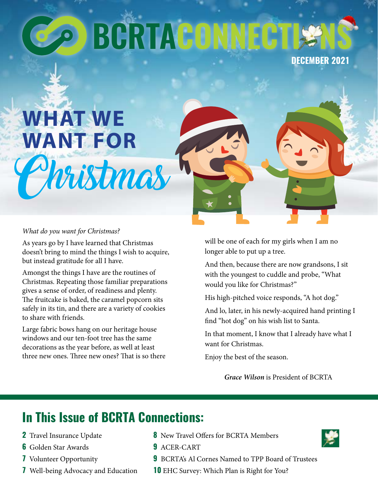# **BGRTACONN**

**DECEMBER 2021**

# **WHAT WE WANT FOR**

#### *What do you want for Christmas?*

As years go by I have learned that Christmas doesn't bring to mind the things I wish to acquire, but instead gratitude for all I have.

Christmas

Amongst the things I have are the routines of Christmas. Repeating those familiar preparations gives a sense of order, of readiness and plenty. The fruitcake is baked, the caramel popcorn sits safely in its tin, and there are a variety of cookies to share with friends.

Large fabric bows hang on our heritage house windows and our ten-foot tree has the same decorations as the year before, as well at least three new ones. Three new ones? That is so there

will be one of each for my girls when I am no longer able to put up a tree.

And then, because there are now grandsons, I sit with the youngest to cuddle and probe, "What would you like for Christmas?"

His high-pitched voice responds, "A hot dog."

And lo, later, in his newly-acquired hand printing I find "hot dog" on his wish list to Santa.

In that moment, I know that I already have what I want for Christmas.

Enjoy the best of the season.

*Grace Wilson* is President of BCRTA

# **In This Issue of BCRTA Connections:**

- **2** Travel Insurance Update
- **6** Golden Star Awards
- **7** Volunteer Opportunity
- **7** Well-being Advocacy and Education
- **8** New Travel Offers for BCRTA Members
- **9** ACER-CART
- **9** BCRTA's Al Cornes Named to TPP Board of Trustees
- **10** EHC Survey: Which Plan is Right for You?

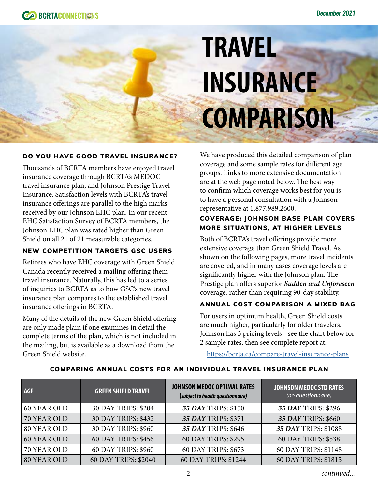

# **TRAVEL INSURANCE COMPARISON**

#### DO YOU HAVE GOOD TRAVEL INSURANCE?

Thousands of BCRTA members have enjoyed travel insurance coverage through BCRTA's MEDOC travel insurance plan, and Johnson Prestige Travel Insurance. Satisfaction levels with BCRTA's travel insurance offerings are parallel to the high marks received by our Johnson EHC plan. In our recent EHC Satisfaction Survey of BCRTA members, the Johnson EHC plan was rated higher than Green Shield on all 21 of 21 measurable categories.

#### NEW COMPETITION TARGETS GSC USERS

Retirees who have EHC coverage with Green Shield Canada recently received a mailing offering them travel insurance. Naturally, this has led to a series of inquiries to BCRTA as to how GSC's new travel insurance plan compares to the established travel insurance offerings in BCRTA.

Many of the details of the new Green Shield offering are only made plain if one examines in detail the complete terms of the plan, which is not included in the mailing, but is available as a download from the Green Shield website.

We have produced this detailed comparison of plan coverage and some sample rates for different age groups. Links to more extensive documentation are at the web page noted below. The best way to confirm which coverage works best for you is to have a personal consultation with a Johnson representative at 1.877.989.2600.

#### COVERAGE: JOHNSON BASE PLAN COVERS MORE SITUATIONS, AT HIGHER LEVELS

Both of BCRTA's travel offerings provide more extensive coverage than Green Shield Travel. As shown on the following pages, more travel incidents are covered, and in many cases coverage levels are significantly higher with the Johnson plan. The Prestige plan offers superior *Sudden and Unforeseen*  coverage, rather than requiring 90-day stability.

#### ANNUAL COST COMPARISON A MIXED BAG

For users in optimum health, Green Shield costs are much higher, particularly for older travelers. Johnson has 3 pricing levels - see the chart below for 2 sample rates, then see complete report at:

<https://bcrta.ca/compare-travel-insurance-plans>

| <b>AGE</b>  | <b>GREEN SHIELD TRAVEL</b> | <b>JOHNSON MEDOC OPTIMAL RATES</b><br>(subject to health questionnaire) | <b>JOHNSON MEDOC STD RATES</b><br>(no questionnaire) |
|-------------|----------------------------|-------------------------------------------------------------------------|------------------------------------------------------|
| 60 YEAR OLD | 30 DAY TRIPS: \$204        | 35 DAY TRIPS: \$150                                                     | 35 DAY TRIPS: \$296                                  |
| 70 YEAR OLD | 30 DAY TRIPS: \$432        | 35 DAY TRIPS: \$371                                                     | 35 DAY TRIPS: \$660                                  |
| 80 YEAR OLD | 30 DAY TRIPS: \$960        | 35 DAY TRIPS: \$646                                                     | 35 DAY TRIPS: \$1088                                 |
| 60 YEAR OLD | 60 DAY TRIPS: \$456        | 60 DAY TRIPS: \$295                                                     | 60 DAY TRIPS: \$538                                  |
| 70 YEAR OLD | 60 DAY TRIPS: \$960        | 60 DAY TRIPS: \$673                                                     | 60 DAY TRIPS: \$1148                                 |
| 80 YEAR OLD | 60 DAY TRIPS: \$2040       | 60 DAY TRIPS: \$1244                                                    | 60 DAY TRIPS: \$1815                                 |

#### COMPARING ANNUAL COSTS FOR AN INDIVIDUAL TRAVEL INSURANCE PLAN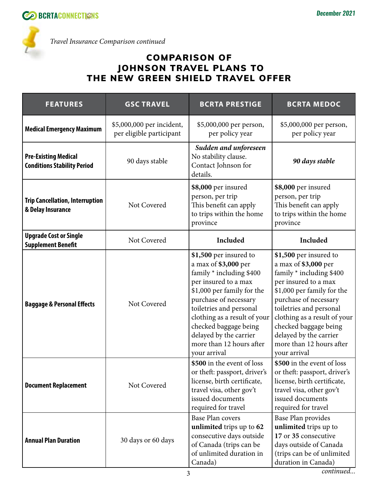

*Travel Insurance Comparison continued*

### COMPARISON OF JOHNSON TRAVEL PLANS TO THE NEW GREEN SHIELD TRAVEL OFFER

| <b>FEATURES</b>                                                   | <b>GSC TRAVEL</b>                                     | <b>BCRTA PRESTIGE</b>                                                                                                                                                                                                                                                                                               | <b>BCRTA MEDOC</b>                                                                                                                                                                                                                                                                                                  |
|-------------------------------------------------------------------|-------------------------------------------------------|---------------------------------------------------------------------------------------------------------------------------------------------------------------------------------------------------------------------------------------------------------------------------------------------------------------------|---------------------------------------------------------------------------------------------------------------------------------------------------------------------------------------------------------------------------------------------------------------------------------------------------------------------|
| <b>Medical Emergency Maximum</b>                                  | \$5,000,000 per incident,<br>per eligible participant | \$5,000,000 per person,<br>per policy year                                                                                                                                                                                                                                                                          | \$5,000,000 per person,<br>per policy year                                                                                                                                                                                                                                                                          |
| <b>Pre-Existing Medical</b><br><b>Conditions Stability Period</b> | 90 days stable                                        | Sudden and unforeseen<br>No stability clause.<br>Contact Johnson for<br>details.                                                                                                                                                                                                                                    | 90 days stable                                                                                                                                                                                                                                                                                                      |
| <b>Trip Cancellation, Interruption</b><br>& Delay Insurance       | Not Covered                                           | \$8,000 per insured<br>person, per trip<br>This benefit can apply<br>to trips within the home<br>province                                                                                                                                                                                                           | \$8,000 per insured<br>person, per trip<br>This benefit can apply<br>to trips within the home<br>province                                                                                                                                                                                                           |
| <b>Upgrade Cost or Single</b><br><b>Supplement Benefit</b>        | Not Covered                                           | Included                                                                                                                                                                                                                                                                                                            | Included                                                                                                                                                                                                                                                                                                            |
| <b>Baggage &amp; Personal Effects</b>                             | Not Covered                                           | \$1,500 per insured to<br>a max of \$3,000 per<br>family * including \$400<br>per insured to a max<br>\$1,000 per family for the<br>purchase of necessary<br>toiletries and personal<br>clothing as a result of your<br>checked baggage being<br>delayed by the carrier<br>more than 12 hours after<br>your arrival | \$1,500 per insured to<br>a max of \$3,000 per<br>family * including \$400<br>per insured to a max<br>\$1,000 per family for the<br>purchase of necessary<br>toiletries and personal<br>clothing as a result of your<br>checked baggage being<br>delayed by the carrier<br>more than 12 hours after<br>your arrival |
| <b>Document Replacement</b>                                       | Not Covered                                           | \$500 in the event of loss<br>or theft: passport, driver's<br>license, birth certificate,<br>travel visa, other gov't<br>issued documents<br>required for travel                                                                                                                                                    | \$500 in the event of loss<br>or theft: passport, driver's<br>license, birth certificate,<br>travel visa, other gov't<br>issued documents<br>required for travel                                                                                                                                                    |
| <b>Annual Plan Duration</b>                                       | 30 days or 60 days                                    | <b>Base Plan covers</b><br>unlimited trips up to 62<br>consecutive days outside<br>of Canada (trips can be<br>of unlimited duration in<br>Canada)                                                                                                                                                                   | Base Plan provides<br>unlimited trips up to<br>17 or 35 consecutive<br>days outside of Canada<br>(trips can be of unlimited<br>duration in Canada)                                                                                                                                                                  |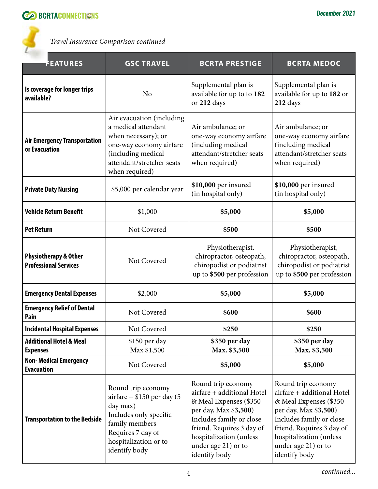

*Travel Insurance Comparison continued*

| <b>FEATURES</b>                                                  | <b>GSC TRAVEL</b>                                                                                                                                                        | <b>BCRTA PRESTIGE</b>                                                                                                                                                                                                           | <b>BCRTA MEDOC</b>                                                                                                                                                                                                              |
|------------------------------------------------------------------|--------------------------------------------------------------------------------------------------------------------------------------------------------------------------|---------------------------------------------------------------------------------------------------------------------------------------------------------------------------------------------------------------------------------|---------------------------------------------------------------------------------------------------------------------------------------------------------------------------------------------------------------------------------|
| Is coverage for longer trips<br>available?                       | N <sub>o</sub>                                                                                                                                                           | Supplemental plan is<br>available for up to to 182<br>or 212 days                                                                                                                                                               | Supplemental plan is<br>available for up to 182 or<br>212 days                                                                                                                                                                  |
| <b>Air Emergency Transportation</b><br>or Evacuation             | Air evacuation (including<br>a medical attendant<br>when necessary); or<br>one-way economy airfare<br>(including medical<br>attendant/stretcher seats<br>when required)  | Air ambulance; or<br>one-way economy airfare<br>(including medical<br>attendant/stretcher seats<br>when required)                                                                                                               | Air ambulance; or<br>one-way economy airfare<br>(including medical<br>attendant/stretcher seats<br>when required)                                                                                                               |
| <b>Private Duty Nursing</b>                                      | \$5,000 per calendar year                                                                                                                                                | \$10,000 per insured<br>(in hospital only)                                                                                                                                                                                      | \$10,000 per insured<br>(in hospital only)                                                                                                                                                                                      |
| <b>Vehicle Return Benefit</b>                                    | \$1,000                                                                                                                                                                  | \$5,000                                                                                                                                                                                                                         | \$5,000                                                                                                                                                                                                                         |
| <b>Pet Return</b>                                                | Not Covered                                                                                                                                                              | \$500                                                                                                                                                                                                                           | \$500                                                                                                                                                                                                                           |
| <b>Physiotherapy &amp; Other</b><br><b>Professional Services</b> | Not Covered                                                                                                                                                              | Physiotherapist,<br>chiropractor, osteopath,<br>chiropodist or podiatrist<br>up to \$500 per profession                                                                                                                         | Physiotherapist,<br>chiropractor, osteopath,<br>chiropodist or podiatrist<br>up to \$500 per profession                                                                                                                         |
| <b>Emergency Dental Expenses</b>                                 | \$2,000                                                                                                                                                                  | \$5,000                                                                                                                                                                                                                         | \$5,000                                                                                                                                                                                                                         |
| <b>Emergency Relief of Dental</b><br>Pain                        | Not Covered                                                                                                                                                              | \$600                                                                                                                                                                                                                           | \$600                                                                                                                                                                                                                           |
| <b>Incidental Hospital Expenses</b>                              | Not Covered                                                                                                                                                              | \$250                                                                                                                                                                                                                           | \$250                                                                                                                                                                                                                           |
| <b>Additional Hotel &amp; Meal</b><br><b>Expenses</b>            | \$150 per day<br>Max \$1,500                                                                                                                                             | \$350 per day<br>Max. \$3,500                                                                                                                                                                                                   | \$350 per day<br>Max. \$3,500                                                                                                                                                                                                   |
| <b>Non-Medical Emergency</b><br><b>Evacuation</b>                | Not Covered                                                                                                                                                              | \$5,000                                                                                                                                                                                                                         | \$5,000                                                                                                                                                                                                                         |
| <b>Transportation to the Bedside</b>                             | Round trip economy<br>$airfare + $150$ per day (5<br>day max)<br>Includes only specific<br>family members<br>Requires 7 day of<br>hospitalization or to<br>identify body | Round trip economy<br>airfare + additional Hotel<br>& Meal Expenses (\$350<br>per day, Max \$3,500)<br>Includes family or close<br>friend. Requires 3 day of<br>hospitalization (unless<br>under age 21) or to<br>identify body | Round trip economy<br>airfare + additional Hotel<br>& Meal Expenses (\$350<br>per day, Max \$3,500)<br>Includes family or close<br>friend. Requires 3 day of<br>hospitalization (unless<br>under age 21) or to<br>identify body |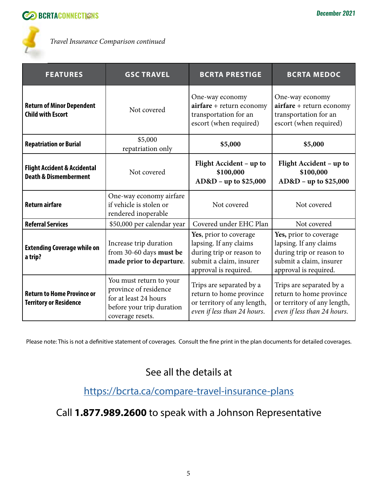

*Travel Insurance Comparison continued*

| <b>FEATURES</b>                                                             | <b>GSC TRAVEL</b>                                                                                                          | <b>BCRTA PRESTIGE</b>                                                                                                            | <b>BCRTA MEDOC</b>                                                                                                               |
|-----------------------------------------------------------------------------|----------------------------------------------------------------------------------------------------------------------------|----------------------------------------------------------------------------------------------------------------------------------|----------------------------------------------------------------------------------------------------------------------------------|
| <b>Return of Minor Dependent</b><br><b>Child with Escort</b>                | Not covered                                                                                                                | One-way economy<br>$airfare + return economy$<br>transportation for an<br>escort (when required)                                 | One-way economy<br>$airfare + return economy$<br>transportation for an<br>escort (when required)                                 |
| <b>Repatriation or Burial</b>                                               | \$5,000<br>repatriation only                                                                                               | \$5,000                                                                                                                          | \$5,000                                                                                                                          |
| <b>Flight Accident &amp; Accidental</b><br><b>Death &amp; Dismemberment</b> | Not covered                                                                                                                | Flight Accident - up to<br>\$100,000<br>AD&D - up to \$25,000                                                                    | Flight Accident – up to<br>\$100,000<br>AD&D - up to \$25,000                                                                    |
| <b>Return airfare</b>                                                       | One-way economy airfare<br>if vehicle is stolen or<br>rendered inoperable                                                  | Not covered                                                                                                                      | Not covered                                                                                                                      |
| <b>Referral Services</b>                                                    | \$50,000 per calendar year                                                                                                 | Covered under EHC Plan                                                                                                           | Not covered                                                                                                                      |
| <b>Extending Coverage while on</b><br>a trip?                               | Increase trip duration<br>from 30-60 days must be<br>made prior to departure.                                              | Yes, prior to coverage<br>lapsing. If any claims<br>during trip or reason to<br>submit a claim, insurer<br>approval is required. | Yes, prior to coverage<br>lapsing. If any claims<br>during trip or reason to<br>submit a claim, insurer<br>approval is required. |
| <b>Return to Home Province or</b><br><b>Territory or Residence</b>          | You must return to your<br>province of residence<br>for at least 24 hours<br>before your trip duration<br>coverage resets. | Trips are separated by a<br>return to home province<br>or territory of any length,<br>even if less than 24 hours.                | Trips are separated by a<br>return to home province<br>or territory of any length,<br>even if less than 24 hours.                |

Please note: This is not a definitive statement of coverages. Consult the fine print in the plan documents for detailed coverages.

### See all the details at

### <https://bcrta.ca/compare-travel-insurance-plans>

### Call **1.877.989.2600** to speak with a Johnson Representative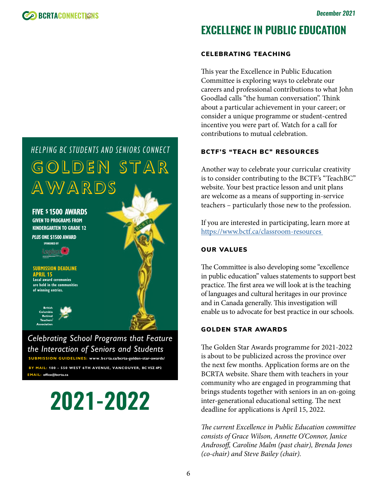# **EXCELLENCE IN PUBLIC EDUCATION**

#### CELEBRATING TEACHING

This year the Excellence in Public Education Committee is exploring ways to celebrate our careers and professional contributions to what John Goodlad calls "the human conversation". Think about a particular achievement in your career; or consider a unique programme or student-centred incentive you were part of. Watch for a call for contributions to mutual celebration.

#### BCTF'S "TEACH BC" RESOURCES

Another way to celebrate your curricular creativity is to consider contributing to the BCTF's "TeachBC" website. Your best practice lesson and unit plans are welcome as a means of supporting in-service teachers – particularly those new to the profession.

If you are interested in participating, learn more at [https://www.bctf.ca/classroom-resources](https://www.bctf.ca/classroom-resources ) 

#### OUR VALUES

The Committee is also developing some "excellence in public education" values statements to support best practice. The first area we will look at is the teaching of languages and cultural heritages in our province and in Canada generally. This investigation will enable us to advocate for best practice in our schools.

#### GOLDEN STAR AWARDS

The Golden Star Awards programme for 2021-2022 is about to be publicized across the province over the next few months. Application forms are on the BCRTA website. Share them with teachers in your community who are engaged in programming that brings students together with seniors in an on-going inter-generational educational setting. The next deadline for applications is April 15, 2022.

*The current Excellence in Public Education committee consists of Grace Wilson, Annette O'Connor, Janice Androsoff, Caroline Malm (past chair), Brenda Jones (co-chair) and Steve Bailey (chair).* 



HELPING BC STUDENTS AND SENIORS CONNECT

*Celebrating School Programs that Feature the Interaction of Seniors and Students* **SUBMISSION GUIDELINES: www.bcr ta.ca/bcrta-golden-star-awards/**

**EMAIL: office@bcrta.ca BY MAIL: 100 - 550 WEST 6TH AVENUE, VANCOUVER, BC V5Z 4P2**

# **2021-2022**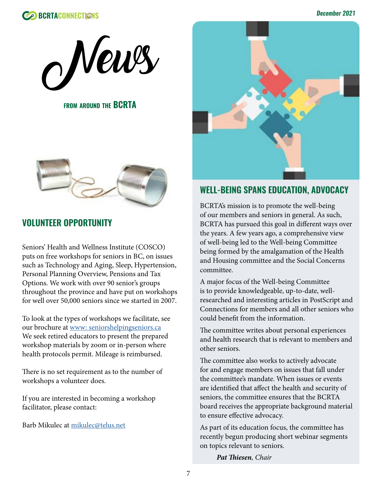



**FROM AROUND THE BCRTA** 



### **VOLUNTEER OPPORTUNITY**

Seniors' Health and Wellness Institute (COSCO) puts on free workshops for seniors in BC, on issues such as Technology and Aging, Sleep, Hypertension, Personal Planning Overview, Pensions and Tax Options. We work with over 90 senior's groups throughout the province and have put on workshops for well over 50,000 seniors since we started in 2007.

To look at the types of workshops we facilitate, see our brochure at<www: seniorshelpingseniors.ca> We seek retired educators to present the prepared workshop materials by zoom or in-person where health protocols permit. Mileage is reimbursed.

There is no set requirement as to the number of workshops a volunteer does.

If you are interested in becoming a workshop facilitator, please contact:

Barb Mikulec at [mikulec@telus.net](mailto:mikulec@telus.net)



### **WELL-BEING SPANS EDUCATION, ADVOCACY**

BCRTA's mission is to promote the well-being of our members and seniors in general. As such, BCRTA has pursued this goal in different ways over the years. A few years ago, a comprehensive view of well-being led to the Well-being Committee being formed by the amalgamation of the Health and Housing committee and the Social Concerns committee.

A major focus of the Well-being Committee is to provide knowledgeable, up-to-date, wellresearched and interesting articles in PostScript and Connections for members and all other seniors who could benefit from the information.

The committee writes about personal experiences and health research that is relevant to members and other seniors.

The committee also works to actively advocate for and engage members on issues that fall under the committee's mandate. When issues or events are identified that affect the health and security of seniors, the committee ensures that the BCRTA board receives the appropriate background material to ensure effective advocacy.

As part of its education focus, the committee has recently begun producing short webinar segments on topics relevant to seniors.

*Pat Thiesen, Chair*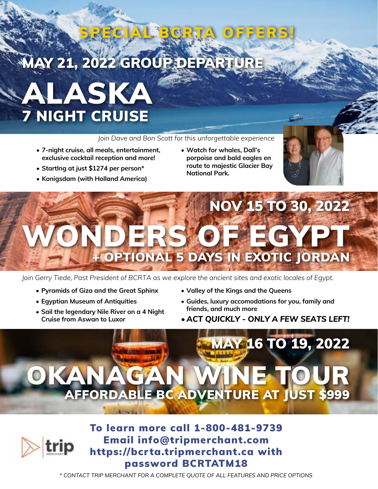# **MAY 21, 2022 GROUP DEPAR**

# ALASKA 7 NIGHT CRUISE

#### *Join Dave and Bon Scott for this unforgettable experience*

SPECIAL BCRTA OFFERS!

- **• 7-night cruise, all meals, entertainment, exclusive cocktail reception and more!**
- **• StartIng at just \$1274 per person\***
- **• Konigsdam (with Holland America)**
- **• Watch for whales, Dall's porpoise and bald eagles en route to majestic Glacier Bay National Park.**



# NOV 15 TO 30, 2022 DERS OF EGYPT + OPTIONAL 5 DAYS IN EXOTIC JORDAN

*Join Gerry Tiede, Past President of BCRTA as we explore the ancient sites and exotic locales of Egypt.*

- **• Pyramids of Giza and the Great Sphinx**
- **• Egyptian Museum of Antiquities**
- **• Sail the legendary Nile River on a 4 Night Cruise from Aswan to Luxor**
- **• Valley of the Kings and the Queens**
- **• Guides, luxury accomodations for you, family and friends, and much more**
- *• ACT QUICKLY ONLY A FEW SEATS LEFT!*

# MAY 16 TO 19, 2022 OKANAGAN WINE TOUR FFORDABLE BC ADVENTURE AT JUST \$999



To learn more call 1-800-481-9739 Email info@tripmerchant.com https://bcrta.tripmerchant.ca with password BCRTATM18

*\* CONTACT TRIP MERCHANT FOR A COMPLETE QUOTE OF ALL FEATURES AND PRICE OPTIONS*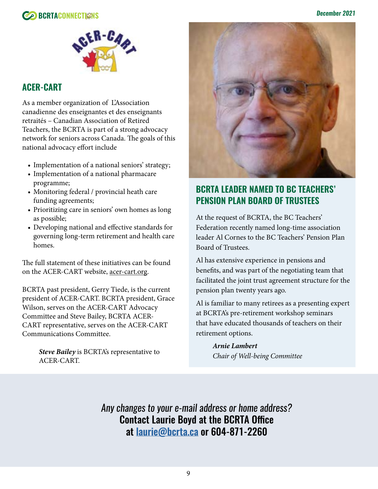

### **ACER-CART**

As a member organization of L'Association canadienne des enseignantes et des enseignants retraités – Canadian Association of Retired Teachers, the BCRTA is part of a strong advocacy network for seniors across Canada. The goals of this national advocacy effort include

- Implementation of a national seniors' strategy;
- Implementation of a national pharmacare programme;
- Monitoring federal / provincial heath care funding agreements;
- Prioritizing care in seniors' own homes as long as possible;
- Developing national and effective standards for governing long-term retirement and health care homes.

The full statement of these initiatives can be found on the ACER-CART website, acer-cart.org.

BCRTA past president, Gerry Tiede, is the current president of ACER-CART. BCRTA president, Grace Wilson, serves on the ACER-CART Advocacy Committee and Steve Bailey, BCRTA ACER-CART representative, serves on the ACER-CART Communications Committee.

> *Steve Bailey* is BCRTA's representative to ACER-CART.



### **BCRTA LEADER NAMED TO BC TEACHERS' PENSION PLAN BOARD OF TRUSTEES**

At the request of BCRTA, the BC Teachers' Federation recently named long-time association leader Al Cornes to the BC Teachers' Pension Plan Board of Trustees.

Al has extensive experience in pensions and benefits, and was part of the negotiating team that facilitated the joint trust agreement structure for the pension plan twenty years ago.

Al is familiar to many retirees as a presenting expert at BCRTA's pre-retirement workshop seminars that have educated thousands of teachers on their retirement options.

> *Arnie Lambert Chair of Well-being Committee*

*Any changes to your e-mail address or home address?* Contact Laurie Boyd at the BCRTA Office at [laurie@bcrta.ca](mailto:laurie%40bcrta.ca?subject=BCRTA%20Member%20Info%20Update) or 604-871-2260